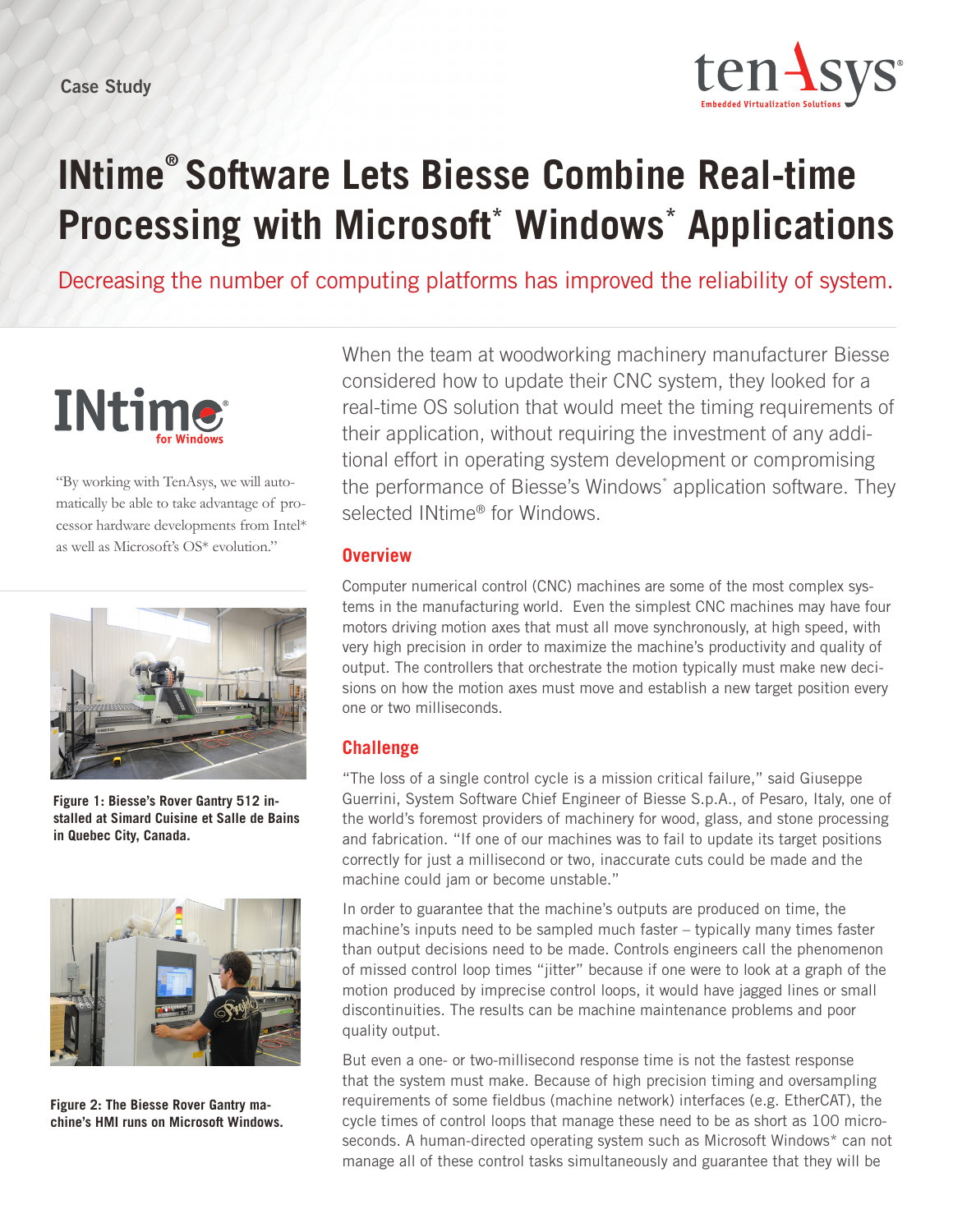

# **INtime® Software Lets Biesse Combine Real-time Processing with Microsoft\* Windows\* Applications**

Decreasing the number of computing platforms has improved the reliability of system.



"By working with TenAsys, we will automatically be able to take advantage of processor hardware developments from Intel\* as well as Microsoft's OS\* evolution."



**Figure 1: Biesse's Rover Gantry 512 installed at Simard Cuisine et Salle de Bains in Quebec City, Canada.**



**Figure 2: The Biesse Rover Gantry machine's HMI runs on Microsoft Windows.**

When the team at woodworking machinery manufacturer Biesse considered how to update their CNC system, they looked for a real-time OS solution that would meet the timing requirements of their application, without requiring the investment of any additional effort in operating system development or compromising the performance of Biesse's Windows\* application software. They selected INtime® for Windows.

#### **Overview**

Computer numerical control (CNC) machines are some of the most complex systems in the manufacturing world. Even the simplest CNC machines may have four motors driving motion axes that must all move synchronously, at high speed, with very high precision in order to maximize the machine's productivity and quality of output. The controllers that orchestrate the motion typically must make new decisions on how the motion axes must move and establish a new target position every one or two milliseconds.

# **Challenge**

"The loss of a single control cycle is a mission critical failure," said Giuseppe Guerrini, System Software Chief Engineer of Biesse S.p.A., of Pesaro, Italy, one of the world's foremost providers of machinery for wood, glass, and stone processing and fabrication. "If one of our machines was to fail to update its target positions correctly for just a millisecond or two, inaccurate cuts could be made and the machine could jam or become unstable."

In order to guarantee that the machine's outputs are produced on time, the machine's inputs need to be sampled much faster – typically many times faster than output decisions need to be made. Controls engineers call the phenomenon of missed control loop times "jitter" because if one were to look at a graph of the motion produced by imprecise control loops, it would have jagged lines or small discontinuities. The results can be machine maintenance problems and poor quality output.

But even a one- or two-millisecond response time is not the fastest response that the system must make. Because of high precision timing and oversampling requirements of some fieldbus (machine network) interfaces (e.g. EtherCAT), the cycle times of control loops that manage these need to be as short as 100 microseconds. A human-directed operating system such as Microsoft Windows\* can not manage all of these control tasks simultaneously and guarantee that they will be